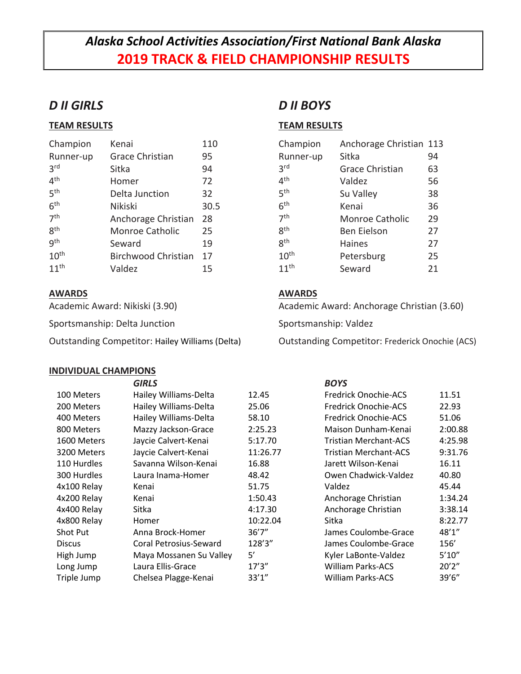# *Alaska School Activities Association/First National Bank Alaska* **2019 TRACK & FIELD CHAMPIONSHIP RESULTS**

### *D II GIRLS*

### **TEAM RESULTS**

| Champion         | Kenai                      | 110  |
|------------------|----------------------------|------|
| Runner-up        | <b>Grace Christian</b>     | 95   |
| 3 <sup>rd</sup>  | Sitka                      | 94   |
| $4^{\text{th}}$  | Homer                      | 72   |
| 5 <sup>th</sup>  | Delta Junction             | 32   |
| 6 <sup>th</sup>  | Nikiski                    | 30.5 |
| 7 <sup>th</sup>  | Anchorage Christian        | 28   |
| gth              | Monroe Catholic            | 25   |
| gth              | Seward                     | 19   |
| 10 <sup>th</sup> | <b>Birchwood Christian</b> | 17   |
| 11 <sup>th</sup> | Valdez                     | 15   |

### **AWARDS**

Academic Award: Nikiski (3.90)

Sportsmanship: Delta Junction

Outstanding Competitor: Hailey Williams (Delta)

### **INDIVIDUAL CHAMPIONS**

## *D II BOYS*

### **TEAM RESULTS**

| Champion         | Anchorage Christian 113 |    |
|------------------|-------------------------|----|
| Runner-up        | Sitka                   | 94 |
| 3 <sup>rd</sup>  | <b>Grace Christian</b>  | 63 |
| 4 <sup>th</sup>  | Valdez                  | 56 |
| 5 <sup>th</sup>  | Su Valley               | 38 |
| 6 <sup>th</sup>  | Kenai                   | 36 |
| 7 <sup>th</sup>  | <b>Monroe Catholic</b>  | 29 |
| gth              | <b>Ben Eielson</b>      | 27 |
| gth              | Haines                  | 27 |
| 10 <sup>th</sup> | Petersburg              | 25 |
| 11 <sup>th</sup> | Seward                  | 21 |

### **AWARDS**

Academic Award: Anchorage Christian (3.60)

Sportsmanship: Valdez

Outstanding Competitor: Frederick Onochie (ACS)

|                 | <b>GIRLS</b>            |          | <b>BOYS</b>                  |         |
|-----------------|-------------------------|----------|------------------------------|---------|
| 100 Meters      | Hailey Williams-Delta   | 12.45    | <b>Fredrick Onochie-ACS</b>  | 11.51   |
| 200 Meters      | Hailey Williams-Delta   | 25.06    | <b>Fredrick Onochie-ACS</b>  | 22.93   |
| 400 Meters      | Hailey Williams-Delta   | 58.10    | <b>Fredrick Onochie-ACS</b>  | 51.06   |
| 800 Meters      | Mazzy Jackson-Grace     | 2:25.23  | Maison Dunham-Kenai          | 2:00.88 |
| 1600 Meters     | Jaycie Calvert-Kenai    | 5:17.70  | <b>Tristian Merchant-ACS</b> | 4:25.98 |
| 3200 Meters     | Jaycie Calvert-Kenai    | 11:26.77 | <b>Tristian Merchant-ACS</b> | 9:31.76 |
| 110 Hurdles     | Savanna Wilson-Kenai    | 16.88    | Jarett Wilson-Kenai          | 16.11   |
| 300 Hurdles     | Laura Inama-Homer       | 48.42    | Owen Chadwick-Valdez         | 40.80   |
| 4x100 Relay     | Kenai                   | 51.75    | Valdez                       | 45.44   |
| 4x200 Relay     | Kenai                   | 1:50.43  | Anchorage Christian          | 1:34.24 |
| 4x400 Relay     | Sitka                   | 4:17.30  | Anchorage Christian          | 3:38.14 |
| 4x800 Relay     | Homer                   | 10:22.04 | Sitka                        | 8:22.77 |
| <b>Shot Put</b> | Anna Brock-Homer        | 36'7''   | James Coulombe-Grace         | 48'1''  |
| <b>Discus</b>   | Coral Petrosius-Seward  | 128'3"   | James Coulombe-Grace         | 156'    |
| High Jump       | Maya Mossanen Su Valley | 5'       | Kyler LaBonte-Valdez         | 5'10''  |
| Long Jump       | Laura Ellis-Grace       | 17'3''   | <b>William Parks-ACS</b>     | 20'2''  |
| Triple Jump     | Chelsea Plagge-Kenai    | 33'1''   | William Parks-ACS            | 39'6"   |
|                 |                         |          |                              |         |